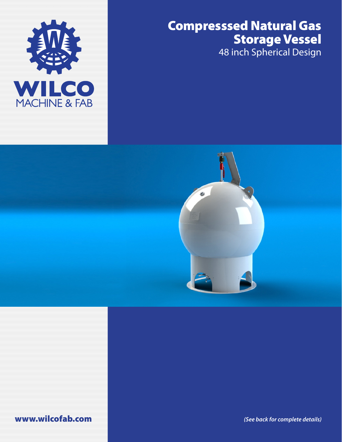## Compresssed Natural Gas Storage Vessel

48 inch Spherical Design





www.wilcofab.com *(See back for complete details)*